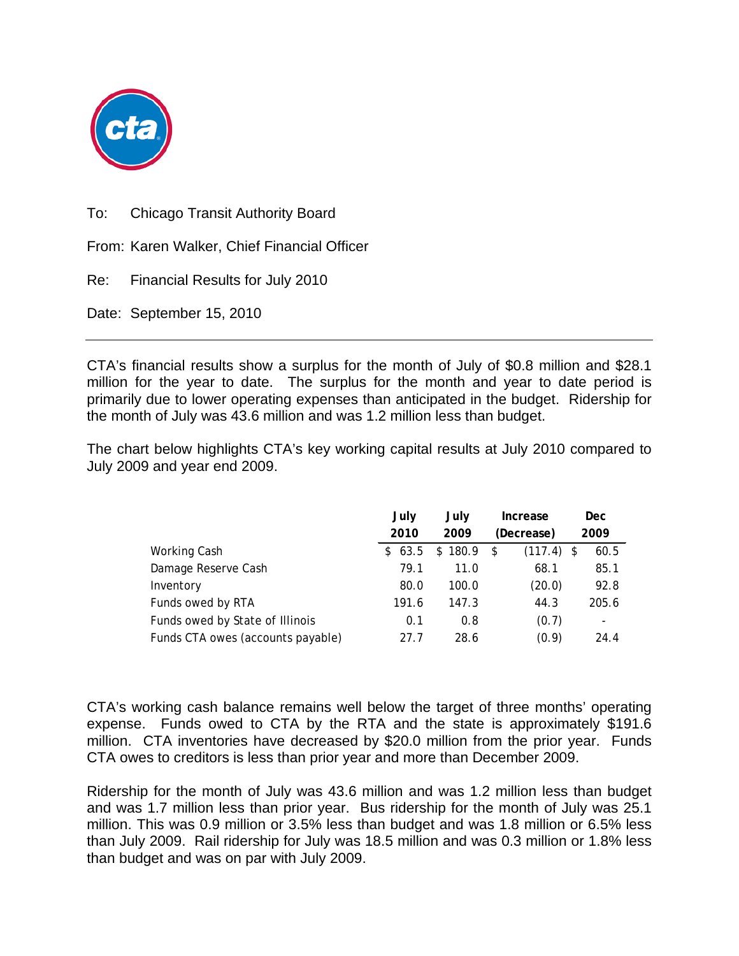

To: Chicago Transit Authority Board

From: Karen Walker, Chief Financial Officer

Re: Financial Results for July 2010

Date: September 15, 2010

CTA's financial results show a surplus for the month of July of \$0.8 million and \$28.1 million for the year to date. The surplus for the month and year to date period is primarily due to lower operating expenses than anticipated in the budget. Ridership for the month of July was 43.6 million and was 1.2 million less than budget.

The chart below highlights CTA's key working capital results at July 2010 compared to July 2009 and year end 2009.

|                                   | July   | July    | Increase           | <b>Dec</b>               |
|-----------------------------------|--------|---------|--------------------|--------------------------|
|                                   | 2010   | 2009    | (Decrease)         | 2009                     |
| Working Cash                      | \$63.5 | \$180.9 | $(117.4)$ \$<br>\$ | 60.5                     |
| Damage Reserve Cash               | 79.1   | 11.0    | 68.1               | 85.1                     |
| Inventory                         | 80.0   | 100.0   | (20.0)             | 92.8                     |
| Funds owed by RTA                 | 191.6  | 147.3   | 44.3               | 205.6                    |
| Funds owed by State of Illinois   | 0.1    | 0.8     | (0.7)              | $\overline{\phantom{a}}$ |
| Funds CTA owes (accounts payable) | 27.7   | 28.6    | (0.9)              | 24.4                     |

CTA's working cash balance remains well below the target of three months' operating expense. Funds owed to CTA by the RTA and the state is approximately \$191.6 million. CTA inventories have decreased by \$20.0 million from the prior year. Funds CTA owes to creditors is less than prior year and more than December 2009.

Ridership for the month of July was 43.6 million and was 1.2 million less than budget and was 1.7 million less than prior year. Bus ridership for the month of July was 25.1 million. This was 0.9 million or 3.5% less than budget and was 1.8 million or 6.5% less than July 2009. Rail ridership for July was 18.5 million and was 0.3 million or 1.8% less than budget and was on par with July 2009.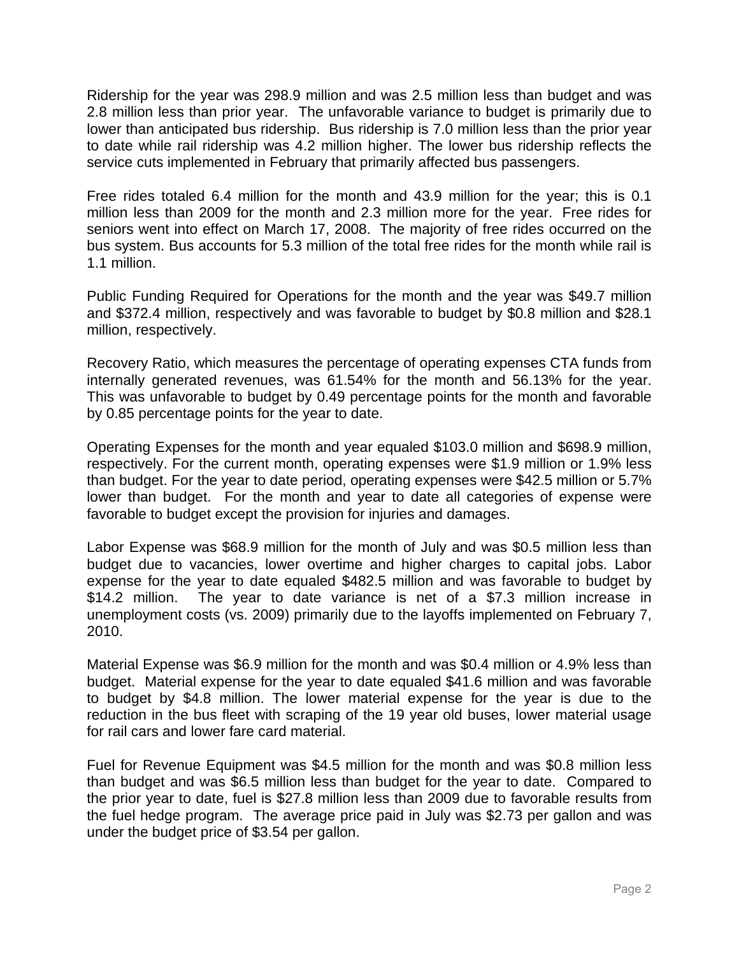Ridership for the year was 298.9 million and was 2.5 million less than budget and was 2.8 million less than prior year. The unfavorable variance to budget is primarily due to lower than anticipated bus ridership. Bus ridership is 7.0 million less than the prior year to date while rail ridership was 4.2 million higher. The lower bus ridership reflects the service cuts implemented in February that primarily affected bus passengers.

Free rides totaled 6.4 million for the month and 43.9 million for the year; this is 0.1 million less than 2009 for the month and 2.3 million more for the year. Free rides for seniors went into effect on March 17, 2008. The majority of free rides occurred on the bus system. Bus accounts for 5.3 million of the total free rides for the month while rail is 1.1 million.

Public Funding Required for Operations for the month and the year was \$49.7 million and \$372.4 million, respectively and was favorable to budget by \$0.8 million and \$28.1 million, respectively.

Recovery Ratio, which measures the percentage of operating expenses CTA funds from internally generated revenues, was 61.54% for the month and 56.13% for the year. This was unfavorable to budget by 0.49 percentage points for the month and favorable by 0.85 percentage points for the year to date.

Operating Expenses for the month and year equaled \$103.0 million and \$698.9 million, respectively. For the current month, operating expenses were \$1.9 million or 1.9% less than budget. For the year to date period, operating expenses were \$42.5 million or 5.7% lower than budget. For the month and year to date all categories of expense were favorable to budget except the provision for injuries and damages.

Labor Expense was \$68.9 million for the month of July and was \$0.5 million less than budget due to vacancies, lower overtime and higher charges to capital jobs. Labor expense for the year to date equaled \$482.5 million and was favorable to budget by \$14.2 million. The year to date variance is net of a \$7.3 million increase in unemployment costs (vs. 2009) primarily due to the layoffs implemented on February 7, 2010.

Material Expense was \$6.9 million for the month and was \$0.4 million or 4.9% less than budget. Material expense for the year to date equaled \$41.6 million and was favorable to budget by \$4.8 million. The lower material expense for the year is due to the reduction in the bus fleet with scraping of the 19 year old buses, lower material usage for rail cars and lower fare card material.

Fuel for Revenue Equipment was \$4.5 million for the month and was \$0.8 million less than budget and was \$6.5 million less than budget for the year to date. Compared to the prior year to date, fuel is \$27.8 million less than 2009 due to favorable results from the fuel hedge program. The average price paid in July was \$2.73 per gallon and was under the budget price of \$3.54 per gallon.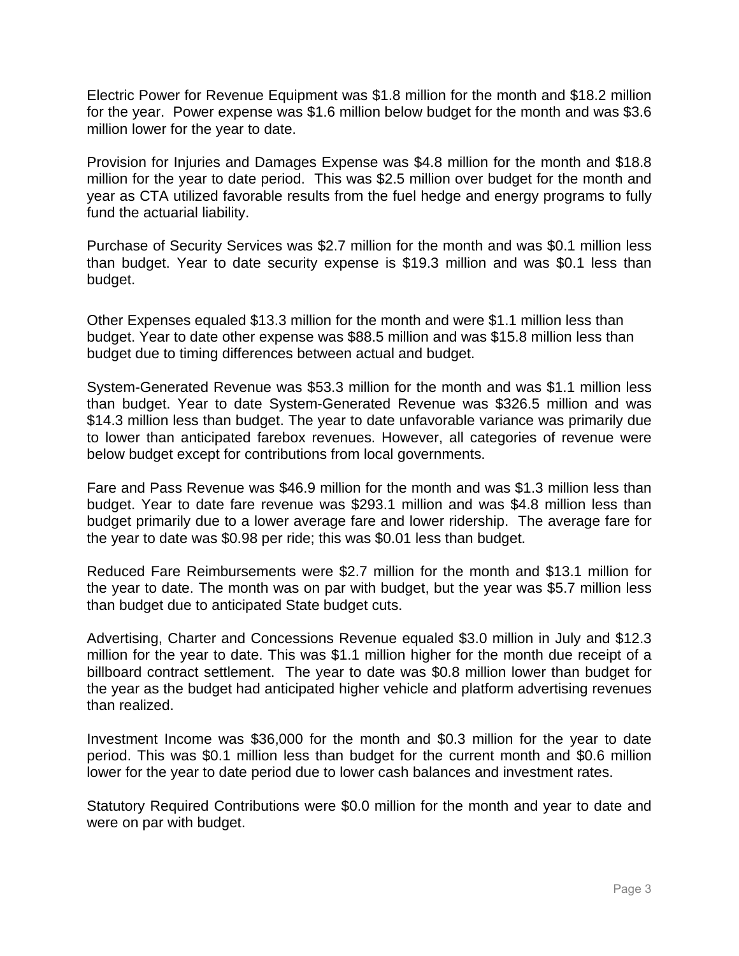Electric Power for Revenue Equipment was \$1.8 million for the month and \$18.2 million for the year. Power expense was \$1.6 million below budget for the month and was \$3.6 million lower for the year to date.

Provision for Injuries and Damages Expense was \$4.8 million for the month and \$18.8 million for the year to date period. This was \$2.5 million over budget for the month and year as CTA utilized favorable results from the fuel hedge and energy programs to fully fund the actuarial liability.

Purchase of Security Services was \$2.7 million for the month and was \$0.1 million less than budget. Year to date security expense is \$19.3 million and was \$0.1 less than budget.

Other Expenses equaled \$13.3 million for the month and were \$1.1 million less than budget. Year to date other expense was \$88.5 million and was \$15.8 million less than budget due to timing differences between actual and budget.

System-Generated Revenue was \$53.3 million for the month and was \$1.1 million less than budget. Year to date System-Generated Revenue was \$326.5 million and was \$14.3 million less than budget. The year to date unfavorable variance was primarily due to lower than anticipated farebox revenues. However, all categories of revenue were below budget except for contributions from local governments.

Fare and Pass Revenue was \$46.9 million for the month and was \$1.3 million less than budget. Year to date fare revenue was \$293.1 million and was \$4.8 million less than budget primarily due to a lower average fare and lower ridership. The average fare for the year to date was \$0.98 per ride; this was \$0.01 less than budget.

Reduced Fare Reimbursements were \$2.7 million for the month and \$13.1 million for the year to date. The month was on par with budget, but the year was \$5.7 million less than budget due to anticipated State budget cuts.

Advertising, Charter and Concessions Revenue equaled \$3.0 million in July and \$12.3 million for the year to date. This was \$1.1 million higher for the month due receipt of a billboard contract settlement. The year to date was \$0.8 million lower than budget for the year as the budget had anticipated higher vehicle and platform advertising revenues than realized.

Investment Income was \$36,000 for the month and \$0.3 million for the year to date period. This was \$0.1 million less than budget for the current month and \$0.6 million lower for the year to date period due to lower cash balances and investment rates.

Statutory Required Contributions were \$0.0 million for the month and year to date and were on par with budget.